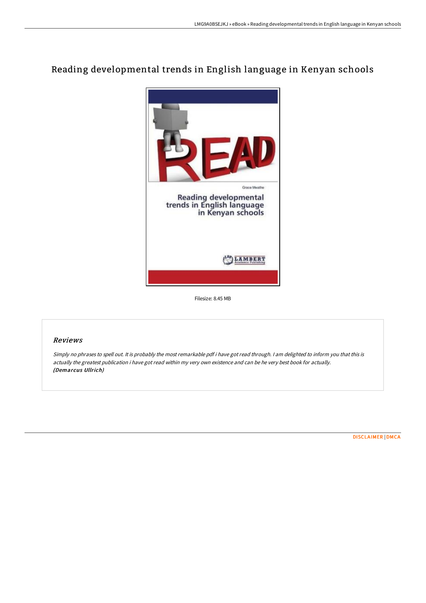# Reading developmental trends in English language in Kenyan schools



Filesize: 8.45 MB

# Reviews

Simply no phrases to spell out. It is probably the most remarkable pdf i have got read through. <sup>I</sup> am delighted to inform you that this is actually the greatest publication i have got read within my very own existence and can be he very best book for actually. (Demarcus Ullrich)

[DISCLAIMER](http://albedo.media/disclaimer.html) | [DMCA](http://albedo.media/dmca.html)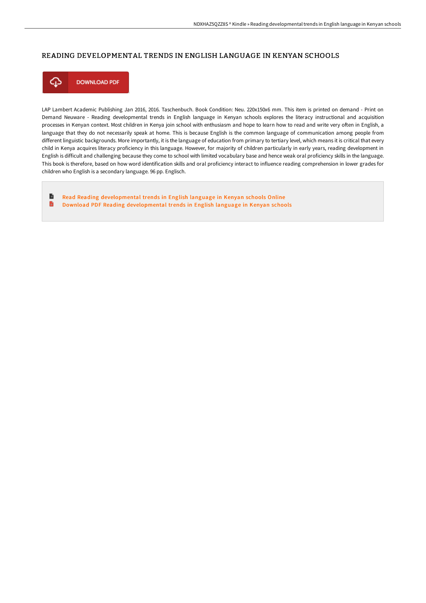## READING DEVELOPMENTAL TRENDS IN ENGLISH LANGUAGE IN KENYAN SCHOOLS



LAP Lambert Academic Publishing Jan 2016, 2016. Taschenbuch. Book Condition: Neu. 220x150x6 mm. This item is printed on demand - Print on Demand Neuware - Reading developmental trends in English language in Kenyan schools explores the literacy instructional and acquisition processes in Kenyan context. Most children in Kenya join school with enthusiasm and hope to learn how to read and write very often in English, a language that they do not necessarily speak at home. This is because English is the common language of communication among people from different linguistic backgrounds. More importantly, it is the language of education from primary to tertiary level, which means it is critical that every child in Kenya acquires literacy proficiency in this language. However, for majority of children particularly in early years, reading development in English is difficult and challenging because they come to school with limited vocabulary base and hence weak oral proficiency skills in the language. This book is therefore, based on how word identification skills and oral proficiency interact to influence reading comprehension in lower grades for children who English is a secondary language. 96 pp. Englisch.

B Read Reading [developmental](http://albedo.media/reading-developmental-trends-in-english-language.html) trends in English language in Kenyan schools Online D Download PDF Reading [developmental](http://albedo.media/reading-developmental-trends-in-english-language.html) trends in English language in Kenyan schools